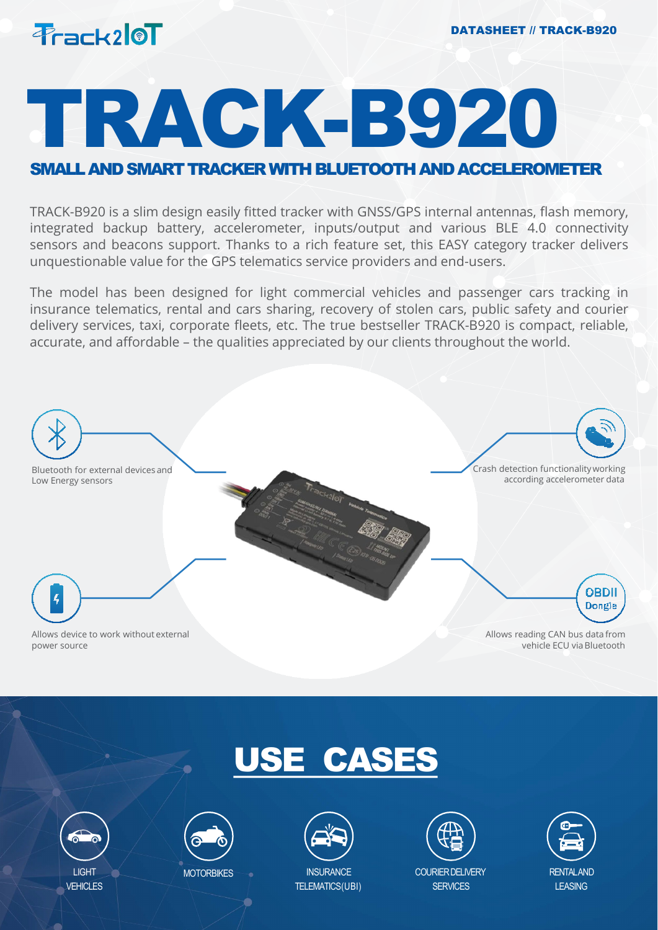

# TRACK-B920

## SMALL AND SMART TRACKER WITH BLUETOOTH AND ACCELEROMETER

TRACK-B920 is a slim design easily fitted tracker with GNSS/GPS internal antennas, flash memory, integrated backup battery, accelerometer, inputs/output and various BLE 4.0 connectivity sensors and beacons support. Thanks to a rich feature set, this EASY category tracker delivers unquestionable value for the GPS telematics service providers and end-users.

The model has been designed for light commercial vehicles and passenger cars tracking in insurance telematics, rental and cars sharing, recovery of stolen cars, public safety and courier delivery services, taxi, corporate fleets, etc. The true bestseller TRACK-B920 is compact, reliable, accurate, and affordable – the qualities appreciated by our clients throughout the world.



## USE CASES





**MOTORBIKES** 



TELEMATICS(UBI)



COURIERDELIVERY **SERVICES** 

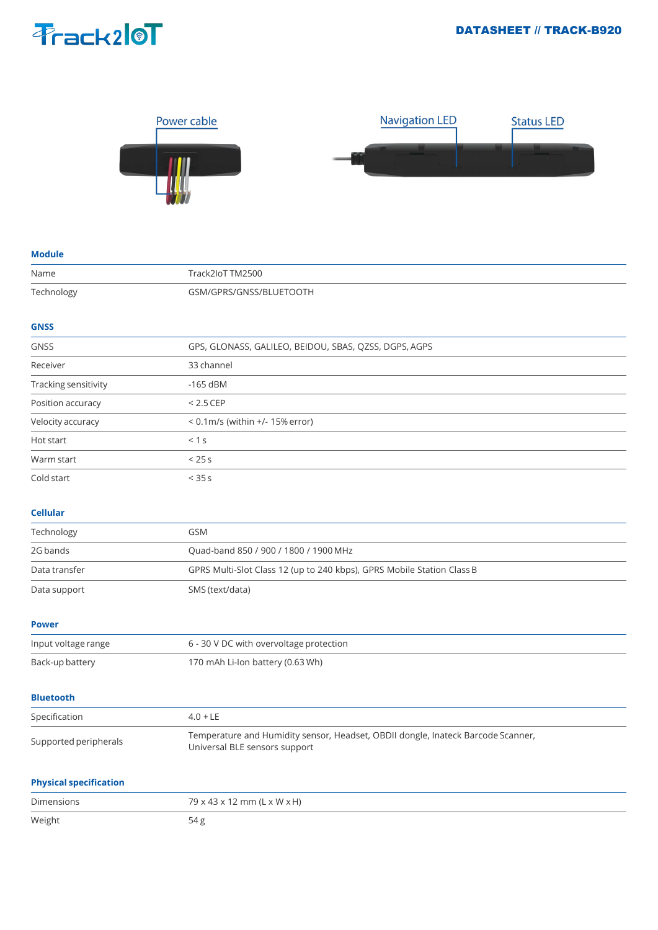



#### **Module**

| Name                          | Track2IoT TM2500                                                                                                  |
|-------------------------------|-------------------------------------------------------------------------------------------------------------------|
| Technology                    | GSM/GPRS/GNSS/BLUETOOTH                                                                                           |
|                               |                                                                                                                   |
| <b>GNSS</b>                   |                                                                                                                   |
| <b>GNSS</b>                   | GPS, GLONASS, GALILEO, BEIDOU, SBAS, QZSS, DGPS, AGPS                                                             |
| Receiver                      | 33 channel                                                                                                        |
| Tracking sensitivity          | $-165$ dBM                                                                                                        |
| Position accuracy             | $< 2.5$ CEP                                                                                                       |
| Velocity accuracy             | < 0.1m/s (within +/- 15% error)                                                                                   |
| Hot start                     | < 1 s                                                                                                             |
| Warm start                    | < 25s                                                                                                             |
| Cold start                    | < 35s                                                                                                             |
|                               |                                                                                                                   |
| <b>Cellular</b>               |                                                                                                                   |
| Technology                    | <b>GSM</b>                                                                                                        |
| 2G bands                      | Quad-band 850 / 900 / 1800 / 1900 MHz                                                                             |
| Data transfer                 | GPRS Multi-Slot Class 12 (up to 240 kbps), GPRS Mobile Station Class B                                            |
| Data support                  | SMS (text/data)                                                                                                   |
|                               |                                                                                                                   |
| <b>Power</b>                  |                                                                                                                   |
| Input voltage range           | 6 - 30 V DC with overvoltage protection                                                                           |
| Back-up battery               | 170 mAh Li-Ion battery (0.63 Wh)                                                                                  |
|                               |                                                                                                                   |
| <b>Bluetooth</b>              |                                                                                                                   |
| Specification                 | $4.0 + LE$                                                                                                        |
| Supported peripherals         | Temperature and Humidity sensor, Headset, OBDII dongle, Inateck Barcode Scanner,<br>Universal BLE sensors support |
| <b>Physical specification</b> |                                                                                                                   |
| Dimensions                    | 79 x 43 x 12 mm (L x W x H)                                                                                       |
| Weight                        | 54g                                                                                                               |